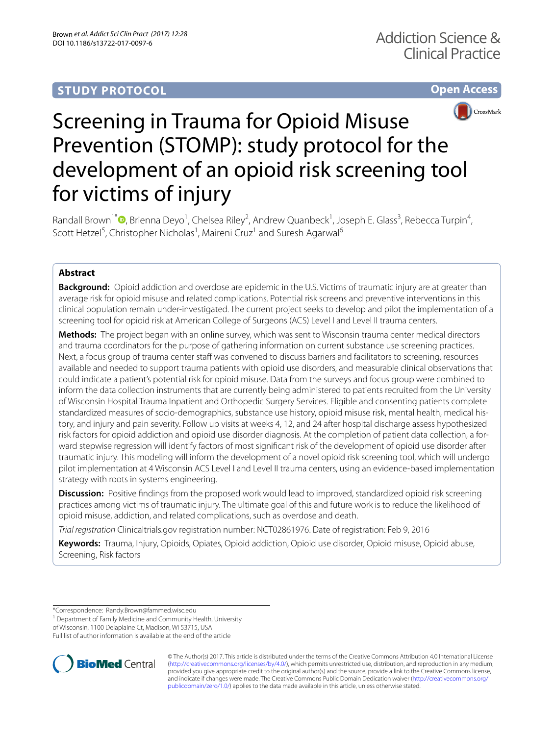# **STUDY PROTOCOL**

**Open Access**



# Screening in Trauma for Opioid Misuse Prevention (STOMP): study protocol for the development of an opioid risk screening tool for victims of injury

Randall Brown<sup>1\*</sup><sup>O</sup>[,](http://orcid.org/0000-0002-5445-8119) Brienna Deyo<sup>1</sup>, Chelsea Riley<sup>2</sup>, Andrew Quanbeck<sup>1</sup>, Joseph E. Glass<sup>3</sup>, Rebecca Turpin<sup>4</sup>, Scott Hetzel<sup>5</sup>, Christopher Nicholas<sup>1</sup>, Maireni Cruz<sup>1</sup> and Suresh Agarwal<sup>6</sup>

# **Abstract**

**Background:** Opioid addiction and overdose are epidemic in the U.S. Victims of traumatic injury are at greater than average risk for opioid misuse and related complications. Potential risk screens and preventive interventions in this clinical population remain under-investigated. The current project seeks to develop and pilot the implementation of a screening tool for opioid risk at American College of Surgeons (ACS) Level I and Level II trauma centers.

**Methods:** The project began with an online survey, which was sent to Wisconsin trauma center medical directors and trauma coordinators for the purpose of gathering information on current substance use screening practices. Next, a focus group of trauma center staff was convened to discuss barriers and facilitators to screening, resources available and needed to support trauma patients with opioid use disorders, and measurable clinical observations that could indicate a patient's potential risk for opioid misuse. Data from the surveys and focus group were combined to inform the data collection instruments that are currently being administered to patients recruited from the University of Wisconsin Hospital Trauma Inpatient and Orthopedic Surgery Services. Eligible and consenting patients complete standardized measures of socio-demographics, substance use history, opioid misuse risk, mental health, medical history, and injury and pain severity. Follow up visits at weeks 4, 12, and 24 after hospital discharge assess hypothesized risk factors for opioid addiction and opioid use disorder diagnosis. At the completion of patient data collection, a forward stepwise regression will identify factors of most signifcant risk of the development of opioid use disorder after traumatic injury. This modeling will inform the development of a novel opioid risk screening tool, which will undergo pilot implementation at 4 Wisconsin ACS Level I and Level II trauma centers, using an evidence-based implementation strategy with roots in systems engineering.

**Discussion:** Positive findings from the proposed work would lead to improved, standardized opioid risk screening practices among victims of traumatic injury. The ultimate goal of this and future work is to reduce the likelihood of opioid misuse, addiction, and related complications, such as overdose and death.

*Trial registration* Clinicaltrials.gov registration number: NCT02861976. Date of registration: Feb 9, 2016

**Keywords:** Trauma, Injury, Opioids, Opiates, Opioid addiction, Opioid use disorder, Opioid misuse, Opioid abuse, Screening, Risk factors

\*Correspondence: Randy.Brown@fammed.wisc.edu

<sup>1</sup> Department of Family Medicine and Community Health, University

of Wisconsin, 1100 Delaplaine Ct, Madison, WI 53715, USA Full list of author information is available at the end of the article



© The Author(s) 2017. This article is distributed under the terms of the Creative Commons Attribution 4.0 International License [\(http://creativecommons.org/licenses/by/4.0/\)](http://creativecommons.org/licenses/by/4.0/), which permits unrestricted use, distribution, and reproduction in any medium, provided you give appropriate credit to the original author(s) and the source, provide a link to the Creative Commons license, and indicate if changes were made. The Creative Commons Public Domain Dedication waiver ([http://creativecommons.org/](http://creativecommons.org/publicdomain/zero/1.0/) [publicdomain/zero/1.0/](http://creativecommons.org/publicdomain/zero/1.0/)) applies to the data made available in this article, unless otherwise stated.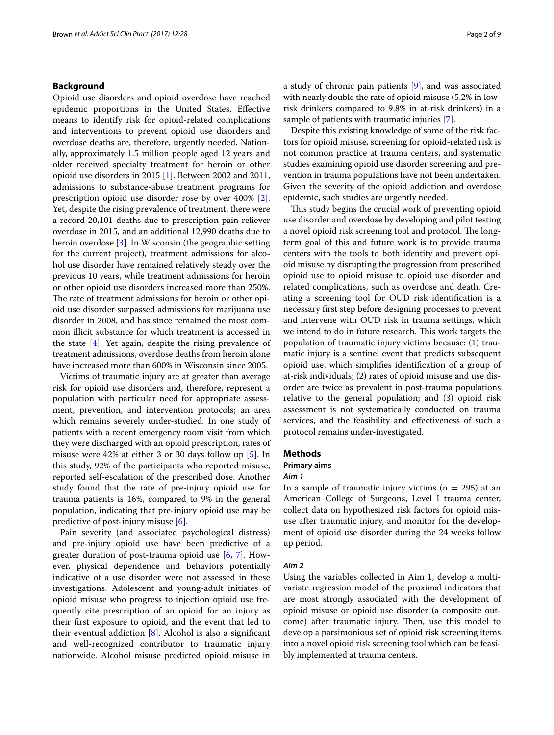# **Background**

Opioid use disorders and opioid overdose have reached epidemic proportions in the United States. Efective means to identify risk for opioid-related complications and interventions to prevent opioid use disorders and overdose deaths are, therefore, urgently needed. Nationally, approximately 1.5 million people aged 12 years and older received specialty treatment for heroin or other opioid use disorders in 2015 [\[1\]](#page-7-0). Between 2002 and 2011, admissions to substance-abuse treatment programs for prescription opioid use disorder rose by over 400% [\[2](#page-7-1)]. Yet, despite the rising prevalence of treatment, there were a record 20,101 deaths due to prescription pain reliever overdose in 2015, and an additional 12,990 deaths due to heroin overdose [[3\]](#page-7-2). In Wisconsin (the geographic setting for the current project), treatment admissions for alcohol use disorder have remained relatively steady over the previous 10 years, while treatment admissions for heroin or other opioid use disorders increased more than 250%. The rate of treatment admissions for heroin or other opioid use disorder surpassed admissions for marijuana use disorder in 2008, and has since remained the most common illicit substance for which treatment is accessed in the state [[4](#page-7-3)]. Yet again, despite the rising prevalence of treatment admissions, overdose deaths from heroin alone have increased more than 600% in Wisconsin since 2005.

Victims of traumatic injury are at greater than average risk for opioid use disorders and, therefore, represent a population with particular need for appropriate assessment, prevention, and intervention protocols; an area which remains severely under-studied. In one study of patients with a recent emergency room visit from which they were discharged with an opioid prescription, rates of misuse were 42% at either 3 or 30 days follow up [\[5](#page-7-4)]. In this study, 92% of the participants who reported misuse, reported self-escalation of the prescribed dose. Another study found that the rate of pre-injury opioid use for trauma patients is 16%, compared to 9% in the general population, indicating that pre-injury opioid use may be predictive of post-injury misuse [[6\]](#page-7-5).

Pain severity (and associated psychological distress) and pre-injury opioid use have been predictive of a greater duration of post-trauma opioid use [[6,](#page-7-5) [7](#page-7-6)]. However, physical dependence and behaviors potentially indicative of a use disorder were not assessed in these investigations. Adolescent and young-adult initiates of opioid misuse who progress to injection opioid use frequently cite prescription of an opioid for an injury as their frst exposure to opioid, and the event that led to their eventual addiction [\[8](#page-7-7)]. Alcohol is also a signifcant and well-recognized contributor to traumatic injury nationwide. Alcohol misuse predicted opioid misuse in a study of chronic pain patients [\[9\]](#page-7-8), and was associated with nearly double the rate of opioid misuse (5.2% in lowrisk drinkers compared to 9.8% in at-risk drinkers) in a sample of patients with traumatic injuries [[7](#page-7-6)].

Despite this existing knowledge of some of the risk factors for opioid misuse, screening for opioid-related risk is not common practice at trauma centers, and systematic studies examining opioid use disorder screening and prevention in trauma populations have not been undertaken. Given the severity of the opioid addiction and overdose epidemic, such studies are urgently needed.

This study begins the crucial work of preventing opioid use disorder and overdose by developing and pilot testing a novel opioid risk screening tool and protocol. The longterm goal of this and future work is to provide trauma centers with the tools to both identify and prevent opioid misuse by disrupting the progression from prescribed opioid use to opioid misuse to opioid use disorder and related complications, such as overdose and death. Creating a screening tool for OUD risk identifcation is a necessary frst step before designing processes to prevent and intervene with OUD risk in trauma settings, which we intend to do in future research. This work targets the population of traumatic injury victims because: (1) traumatic injury is a sentinel event that predicts subsequent opioid use, which simplifes identifcation of a group of at-risk individuals; (2) rates of opioid misuse and use disorder are twice as prevalent in post-trauma populations relative to the general population; and (3) opioid risk assessment is not systematically conducted on trauma services, and the feasibility and efectiveness of such a protocol remains under-investigated.

# **Methods**

# **Primary aims**

## *Aim 1*

In a sample of traumatic injury victims  $(n = 295)$  at an American College of Surgeons, Level I trauma center, collect data on hypothesized risk factors for opioid misuse after traumatic injury, and monitor for the development of opioid use disorder during the 24 weeks follow up period.

#### *Aim 2*

Using the variables collected in Aim 1, develop a multivariate regression model of the proximal indicators that are most strongly associated with the development of opioid misuse or opioid use disorder (a composite outcome) after traumatic injury. Then, use this model to develop a parsimonious set of opioid risk screening items into a novel opioid risk screening tool which can be feasibly implemented at trauma centers.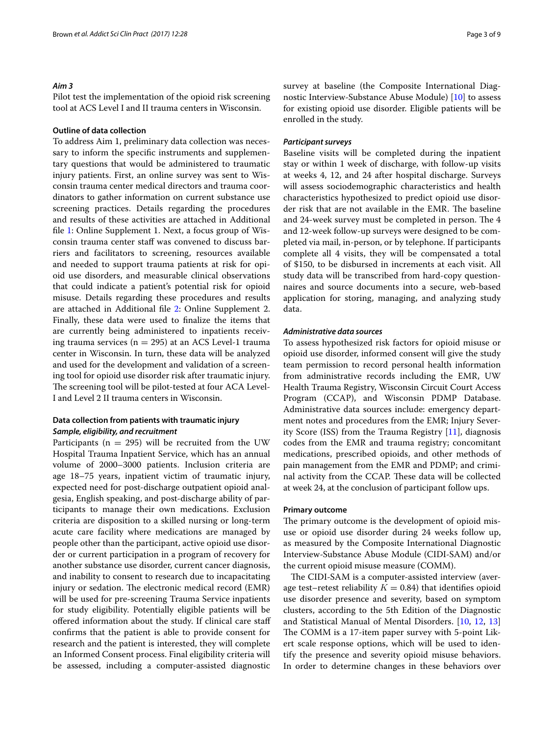## *Aim 3*

Pilot test the implementation of the opioid risk screening tool at ACS Level I and II trauma centers in Wisconsin.

# **Outline of data collection**

To address Aim 1, preliminary data collection was necessary to inform the specifc instruments and supplementary questions that would be administered to traumatic injury patients. First, an online survey was sent to Wisconsin trauma center medical directors and trauma coordinators to gather information on current substance use screening practices. Details regarding the procedures and results of these activities are attached in Additional fle [1:](#page-6-0) Online Supplement 1. Next, a focus group of Wisconsin trauma center staff was convened to discuss barriers and facilitators to screening, resources available and needed to support trauma patients at risk for opioid use disorders, and measurable clinical observations that could indicate a patient's potential risk for opioid misuse. Details regarding these procedures and results are attached in Additional fle [2](#page-6-1): Online Supplement 2. Finally, these data were used to fnalize the items that are currently being administered to inpatients receiving trauma services ( $n = 295$ ) at an ACS Level-1 trauma center in Wisconsin. In turn, these data will be analyzed and used for the development and validation of a screening tool for opioid use disorder risk after traumatic injury. The screening tool will be pilot-tested at four ACA Level-I and Level 2 II trauma centers in Wisconsin.

# **Data collection from patients with traumatic injury** *Sample, eligibility, and recruitment*

Participants ( $n = 295$ ) will be recruited from the UW Hospital Trauma Inpatient Service, which has an annual volume of 2000–3000 patients. Inclusion criteria are age 18–75 years, inpatient victim of traumatic injury, expected need for post-discharge outpatient opioid analgesia, English speaking, and post-discharge ability of participants to manage their own medications. Exclusion criteria are disposition to a skilled nursing or long-term acute care facility where medications are managed by people other than the participant, active opioid use disorder or current participation in a program of recovery for another substance use disorder, current cancer diagnosis, and inability to consent to research due to incapacitating injury or sedation. The electronic medical record (EMR) will be used for pre-screening Trauma Service inpatients for study eligibility. Potentially eligible patients will be ofered information about the study. If clinical care staf confrms that the patient is able to provide consent for research and the patient is interested, they will complete an Informed Consent process. Final eligibility criteria will be assessed, including a computer-assisted diagnostic survey at baseline (the Composite International Diagnostic Interview-Substance Abuse Module) [[10\]](#page-7-9) to assess for existing opioid use disorder. Eligible patients will be enrolled in the study.

#### *Participant surveys*

Baseline visits will be completed during the inpatient stay or within 1 week of discharge, with follow-up visits at weeks 4, 12, and 24 after hospital discharge. Surveys will assess sociodemographic characteristics and health characteristics hypothesized to predict opioid use disorder risk that are not available in the EMR. The baseline and 24-week survey must be completed in person. The 4 and 12-week follow-up surveys were designed to be completed via mail, in-person, or by telephone. If participants complete all 4 visits, they will be compensated a total of \$150, to be disbursed in increments at each visit. All study data will be transcribed from hard-copy questionnaires and source documents into a secure, web-based application for storing, managing, and analyzing study data.

#### *Administrative data sources*

To assess hypothesized risk factors for opioid misuse or opioid use disorder, informed consent will give the study team permission to record personal health information from administrative records including the EMR, UW Health Trauma Registry, Wisconsin Circuit Court Access Program (CCAP), and Wisconsin PDMP Database. Administrative data sources include: emergency department notes and procedures from the EMR; Injury Severity Score (ISS) from the Trauma Registry [[11\]](#page-7-10), diagnosis codes from the EMR and trauma registry; concomitant medications, prescribed opioids, and other methods of pain management from the EMR and PDMP; and criminal activity from the CCAP. These data will be collected at week 24, at the conclusion of participant follow ups.

### **Primary outcome**

The primary outcome is the development of opioid misuse or opioid use disorder during 24 weeks follow up, as measured by the Composite International Diagnostic Interview-Substance Abuse Module (CIDI-SAM) and/or the current opioid misuse measure (COMM).

The CIDI-SAM is a computer-assisted interview (average test–retest reliability  $K = 0.84$ ) that identifies opioid use disorder presence and severity, based on symptom clusters, according to the 5th Edition of the Diagnostic and Statistical Manual of Mental Disorders. [[10](#page-7-9), [12,](#page-7-11) [13](#page-7-12)] The COMM is a 17-item paper survey with 5-point Likert scale response options, which will be used to identify the presence and severity opioid misuse behaviors. In order to determine changes in these behaviors over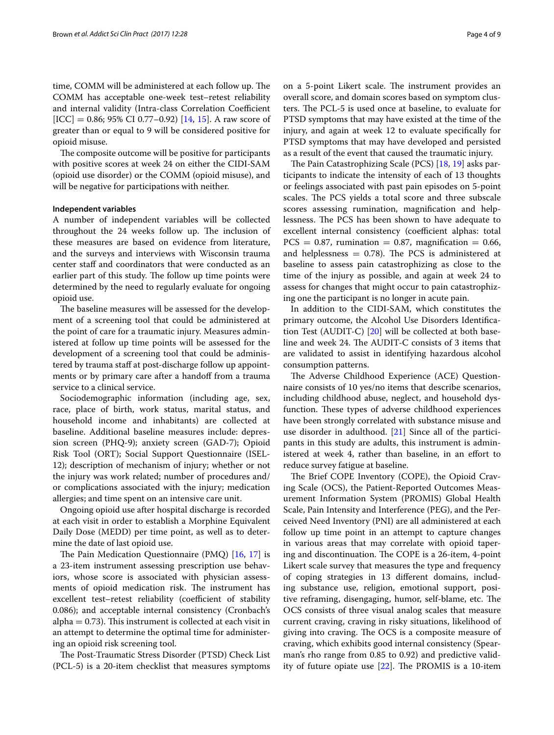time, COMM will be administered at each follow up. The COMM has acceptable one-week test–retest reliability and internal validity (Intra-class Correlation Coefficient  $[ICC] = 0.86$ ; 95% CI 0.77–0.92) [\[14](#page-7-13), [15](#page-7-14)]. A raw score of greater than or equal to 9 will be considered positive for opioid misuse.

The composite outcome will be positive for participants with positive scores at week 24 on either the CIDI-SAM (opioid use disorder) or the COMM (opioid misuse), and will be negative for participations with neither.

#### **Independent variables**

A number of independent variables will be collected throughout the 24 weeks follow up. The inclusion of these measures are based on evidence from literature, and the surveys and interviews with Wisconsin trauma center staff and coordinators that were conducted as an earlier part of this study. The follow up time points were determined by the need to regularly evaluate for ongoing opioid use.

The baseline measures will be assessed for the development of a screening tool that could be administered at the point of care for a traumatic injury. Measures administered at follow up time points will be assessed for the development of a screening tool that could be administered by trauma staff at post-discharge follow up appointments or by primary care after a handoff from a trauma service to a clinical service.

Sociodemographic information (including age, sex, race, place of birth, work status, marital status, and household income and inhabitants) are collected at baseline. Additional baseline measures include: depression screen (PHQ-9); anxiety screen (GAD-7); Opioid Risk Tool (ORT); Social Support Questionnaire (ISEL-12); description of mechanism of injury; whether or not the injury was work related; number of procedures and/ or complications associated with the injury; medication allergies; and time spent on an intensive care unit.

Ongoing opioid use after hospital discharge is recorded at each visit in order to establish a Morphine Equivalent Daily Dose (MEDD) per time point, as well as to determine the date of last opioid use.

The Pain Medication Questionnaire (PMQ)  $[16, 17]$  $[16, 17]$  $[16, 17]$  is a 23-item instrument assessing prescription use behaviors, whose score is associated with physician assessments of opioid medication risk. The instrument has excellent test–retest reliability (coefficient of stability 0.086); and acceptable internal consistency (Cronbach's  $alpha = 0.73$ ). This instrument is collected at each visit in an attempt to determine the optimal time for administering an opioid risk screening tool.

The Post-Traumatic Stress Disorder (PTSD) Check List (PCL-5) is a 20-item checklist that measures symptoms on a 5-point Likert scale. The instrument provides an overall score, and domain scores based on symptom clusters. The PCL-5 is used once at baseline, to evaluate for PTSD symptoms that may have existed at the time of the injury, and again at week 12 to evaluate specifcally for PTSD symptoms that may have developed and persisted as a result of the event that caused the traumatic injury.

The Pain Catastrophizing Scale (PCS)  $[18, 19]$  $[18, 19]$  $[18, 19]$  $[18, 19]$  asks participants to indicate the intensity of each of 13 thoughts or feelings associated with past pain episodes on 5-point scales. The PCS yields a total score and three subscale scores assessing rumination, magnifcation and helplessness. The PCS has been shown to have adequate to excellent internal consistency (coefficient alphas: total  $PCS = 0.87$ , rumination = 0.87, magnification = 0.66, and helplessness  $= 0.78$ ). The PCS is administered at baseline to assess pain catastrophizing as close to the time of the injury as possible, and again at week 24 to assess for changes that might occur to pain catastrophizing one the participant is no longer in acute pain.

In addition to the CIDI-SAM, which constitutes the primary outcome, the Alcohol Use Disorders Identifcation Test (AUDIT-C) [[20\]](#page-7-19) will be collected at both baseline and week 24. The AUDIT-C consists of 3 items that are validated to assist in identifying hazardous alcohol consumption patterns.

The Adverse Childhood Experience (ACE) Questionnaire consists of 10 yes/no items that describe scenarios, including childhood abuse, neglect, and household dysfunction. These types of adverse childhood experiences have been strongly correlated with substance misuse and use disorder in adulthood. [\[21](#page-7-20)] Since all of the participants in this study are adults, this instrument is administered at week 4, rather than baseline, in an effort to reduce survey fatigue at baseline.

The Brief COPE Inventory (COPE), the Opioid Craving Scale (OCS), the Patient-Reported Outcomes Measurement Information System (PROMIS) Global Health Scale, Pain Intensity and Interference (PEG), and the Perceived Need Inventory (PNI) are all administered at each follow up time point in an attempt to capture changes in various areas that may correlate with opioid tapering and discontinuation. The COPE is a 26-item, 4-point Likert scale survey that measures the type and frequency of coping strategies in 13 diferent domains, including substance use, religion, emotional support, positive reframing, disengaging, humor, self-blame, etc. The OCS consists of three visual analog scales that measure current craving, craving in risky situations, likelihood of giving into craving. The OCS is a composite measure of craving, which exhibits good internal consistency (Spearman's rho range from 0.85 to 0.92) and predictive validity of future opiate use  $[22]$  $[22]$ . The PROMIS is a 10-item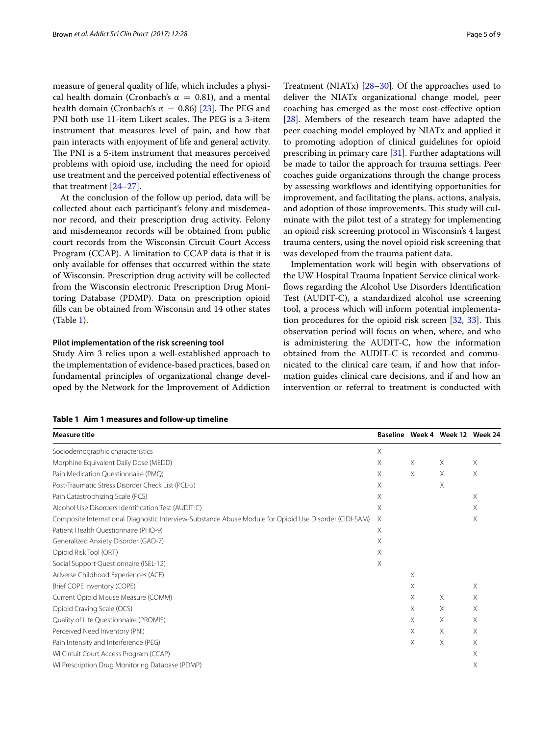measure of general quality of life, which includes a physical health domain (Cronbach's  $\alpha = 0.81$ ), and a mental health domain (Cronbach's  $\alpha = 0.86$ ) [[23\]](#page-7-22). The PEG and PNI both use 11-item Likert scales. The PEG is a 3-item instrument that measures level of pain, and how that pain interacts with enjoyment of life and general activity. The PNI is a 5-item instrument that measures perceived problems with opioid use, including the need for opioid use treatment and the perceived potential efectiveness of that treatment [\[24–](#page-7-23)[27\]](#page-7-24).

At the conclusion of the follow up period, data will be collected about each participant's felony and misdemeanor record, and their prescription drug activity. Felony and misdemeanor records will be obtained from public court records from the Wisconsin Circuit Court Access Program (CCAP). A limitation to CCAP data is that it is only available for ofenses that occurred within the state of Wisconsin. Prescription drug activity will be collected from the Wisconsin electronic Prescription Drug Monitoring Database (PDMP). Data on prescription opioid flls can be obtained from Wisconsin and 14 other states (Table [1](#page-4-0)).

## **Pilot implementation of the risk screening tool**

Study Aim 3 relies upon a well-established approach to the implementation of evidence-based practices, based on fundamental principles of organizational change developed by the Network for the Improvement of Addiction

<span id="page-4-0"></span>

|  |  | Table 1 Aim 1 measures and follow-up timeline |  |  |  |
|--|--|-----------------------------------------------|--|--|--|
|--|--|-----------------------------------------------|--|--|--|

Treatment (NIATx) [[28](#page-7-25)[–30](#page-7-26)]. Of the approaches used to deliver the NIATx organizational change model, peer coaching has emerged as the most cost-efective option [[28\]](#page-7-25). Members of the research team have adapted the peer coaching model employed by NIATx and applied it to promoting adoption of clinical guidelines for opioid prescribing in primary care [[31](#page-7-27)]. Further adaptations will be made to tailor the approach for trauma settings. Peer coaches guide organizations through the change process by assessing workflows and identifying opportunities for improvement, and facilitating the plans, actions, analysis, and adoption of those improvements. This study will culminate with the pilot test of a strategy for implementing an opioid risk screening protocol in Wisconsin's 4 largest trauma centers, using the novel opioid risk screening that was developed from the trauma patient data.

Implementation work will begin with observations of the UW Hospital Trauma Inpatient Service clinical workflows regarding the Alcohol Use Disorders Identification Test (AUDIT-C), a standardized alcohol use screening tool, a process which will inform potential implementation procedures for the opioid risk screen  $[32, 33]$  $[32, 33]$  $[32, 33]$  $[32, 33]$  $[32, 33]$ . This observation period will focus on when, where, and who is administering the AUDIT-C, how the information obtained from the AUDIT-C is recorded and communicated to the clinical care team, if and how that information guides clinical care decisions, and if and how an intervention or referral to treatment is conducted with

| Measure title                                                                                          |   |    | Baseline Week 4 Week 12 Week 24 |   |
|--------------------------------------------------------------------------------------------------------|---|----|---------------------------------|---|
| Sociodemographic characteristics                                                                       | X |    |                                 |   |
| Morphine Equivalent Daily Dose (MEDD)                                                                  | X | Χ  | Χ                               | Χ |
| Pain Medication Questionnaire (PMQ)                                                                    | X | Χ  | Χ                               | X |
| Post-Traumatic Stress Disorder Check List (PCL-5)                                                      | X |    | Χ                               |   |
| Pain Catastrophizing Scale (PCS)                                                                       | X |    |                                 | X |
| Alcohol Use Disorders Identification Test (AUDIT-C)                                                    | X |    |                                 | X |
| Composite International Diagnostic Interview-Substance Abuse Module for Opioid Use Disorder (CIDI-SAM) |   |    |                                 | Χ |
| Patient Health Questionnaire (PHQ-9)                                                                   | X |    |                                 |   |
| Generalized Anxiety Disorder (GAD-7)                                                                   | X |    |                                 |   |
| Opioid Risk Tool (ORT)                                                                                 | X |    |                                 |   |
| Social Support Questionnaire (ISEL-12)                                                                 | X |    |                                 |   |
| Adverse Childhood Experiences (ACE)                                                                    |   | X  |                                 |   |
| Brief COPE Inventory (COPE)                                                                            |   | X  |                                 | X |
| Current Opioid Misuse Measure (COMM)                                                                   |   | X  | X                               | Χ |
| Opioid Craving Scale (OCS)                                                                             |   | Χ  | Χ                               | Χ |
| Quality of Life Questionnaire (PROMIS)                                                                 |   | X. | X                               | X |
| Perceived Need Inventory (PNI)                                                                         |   | X. | Χ                               | Χ |
| Pain Intensity and Interference (PEG)                                                                  |   | X  | Χ                               | Χ |
| WI Circuit Court Access Program (CCAP)                                                                 |   |    |                                 | Χ |
| WI Prescription Drug Monitoring Database (PDMP)                                                        |   |    |                                 | Χ |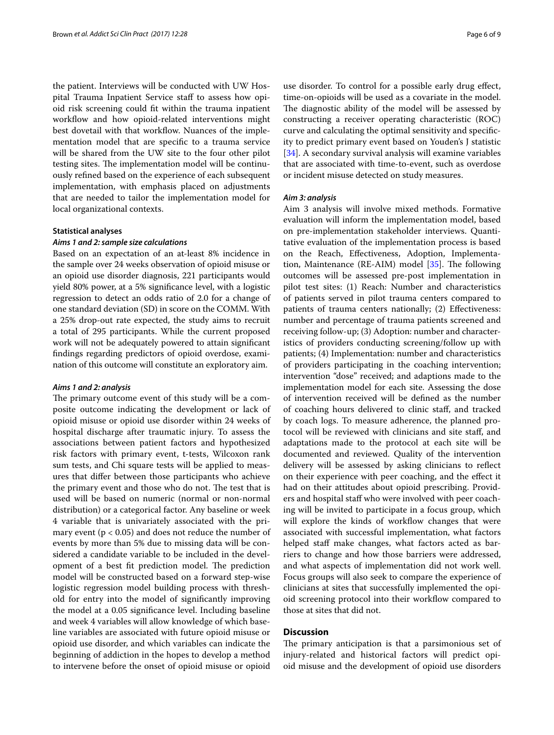the patient. Interviews will be conducted with UW Hospital Trauma Inpatient Service staff to assess how opioid risk screening could ft within the trauma inpatient workflow and how opioid-related interventions might best dovetail with that workflow. Nuances of the implementation model that are specifc to a trauma service will be shared from the UW site to the four other pilot testing sites. The implementation model will be continuously refned based on the experience of each subsequent implementation, with emphasis placed on adjustments that are needed to tailor the implementation model for local organizational contexts.

#### **Statistical analyses**

## *Aims 1 and 2: sample size calculations*

Based on an expectation of an at-least 8% incidence in the sample over 24 weeks observation of opioid misuse or an opioid use disorder diagnosis, 221 participants would yield 80% power, at a 5% signifcance level, with a logistic regression to detect an odds ratio of 2.0 for a change of one standard deviation (SD) in score on the COMM. With a 25% drop-out rate expected, the study aims to recruit a total of 295 participants. While the current proposed work will not be adequately powered to attain signifcant fndings regarding predictors of opioid overdose, examination of this outcome will constitute an exploratory aim.

#### *Aims 1 and 2: analysis*

The primary outcome event of this study will be a composite outcome indicating the development or lack of opioid misuse or opioid use disorder within 24 weeks of hospital discharge after traumatic injury. To assess the associations between patient factors and hypothesized risk factors with primary event, t-tests, Wilcoxon rank sum tests, and Chi square tests will be applied to measures that difer between those participants who achieve the primary event and those who do not. The test that is used will be based on numeric (normal or non-normal distribution) or a categorical factor. Any baseline or week 4 variable that is univariately associated with the primary event ( $p < 0.05$ ) and does not reduce the number of events by more than 5% due to missing data will be considered a candidate variable to be included in the development of a best fit prediction model. The prediction model will be constructed based on a forward step-wise logistic regression model building process with threshold for entry into the model of signifcantly improving the model at a 0.05 signifcance level. Including baseline and week 4 variables will allow knowledge of which baseline variables are associated with future opioid misuse or opioid use disorder, and which variables can indicate the beginning of addiction in the hopes to develop a method to intervene before the onset of opioid misuse or opioid

use disorder. To control for a possible early drug efect, time-on-opioids will be used as a covariate in the model. The diagnostic ability of the model will be assessed by constructing a receiver operating characteristic (ROC) curve and calculating the optimal sensitivity and specifcity to predict primary event based on Youden's J statistic [[34\]](#page-8-0). A secondary survival analysis will examine variables that are associated with time-to-event, such as overdose or incident misuse detected on study measures.

#### *Aim 3: analysis*

Aim 3 analysis will involve mixed methods. Formative evaluation will inform the implementation model, based on pre-implementation stakeholder interviews. Quantitative evaluation of the implementation process is based on the Reach, Efectiveness, Adoption, Implementation, Maintenance (RE-AIM) model  $[35]$  $[35]$ . The following outcomes will be assessed pre-post implementation in pilot test sites: (1) Reach: Number and characteristics of patients served in pilot trauma centers compared to patients of trauma centers nationally; (2) Efectiveness: number and percentage of trauma patients screened and receiving follow-up; (3) Adoption: number and characteristics of providers conducting screening/follow up with patients; (4) Implementation: number and characteristics of providers participating in the coaching intervention; intervention "dose" received; and adaptions made to the implementation model for each site. Assessing the dose of intervention received will be defned as the number of coaching hours delivered to clinic staf, and tracked by coach logs. To measure adherence, the planned protocol will be reviewed with clinicians and site staf, and adaptations made to the protocol at each site will be documented and reviewed. Quality of the intervention delivery will be assessed by asking clinicians to refect on their experience with peer coaching, and the efect it had on their attitudes about opioid prescribing. Providers and hospital staff who were involved with peer coaching will be invited to participate in a focus group, which will explore the kinds of workflow changes that were associated with successful implementation, what factors helped staff make changes, what factors acted as barriers to change and how those barriers were addressed, and what aspects of implementation did not work well. Focus groups will also seek to compare the experience of clinicians at sites that successfully implemented the opioid screening protocol into their workflow compared to those at sites that did not.

# **Discussion**

The primary anticipation is that a parsimonious set of injury-related and historical factors will predict opioid misuse and the development of opioid use disorders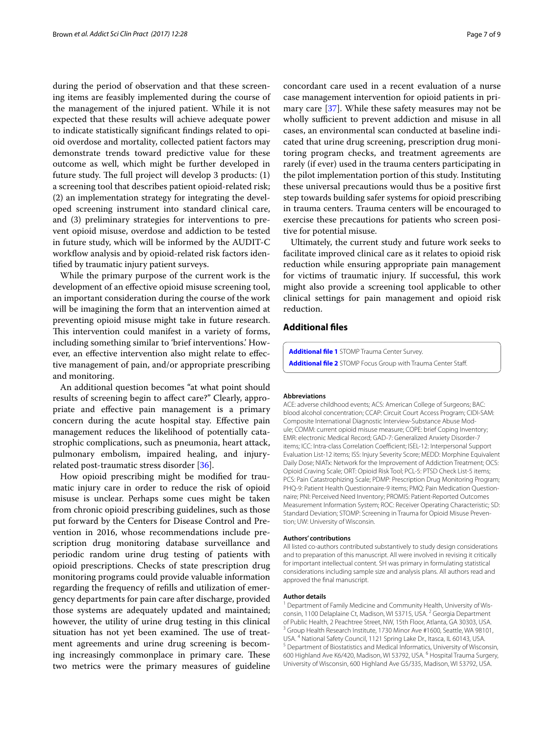during the period of observation and that these screening items are feasibly implemented during the course of the management of the injured patient. While it is not expected that these results will achieve adequate power to indicate statistically signifcant fndings related to opioid overdose and mortality, collected patient factors may demonstrate trends toward predictive value for these outcome as well, which might be further developed in future study. The full project will develop 3 products:  $(1)$ a screening tool that describes patient opioid-related risk; (2) an implementation strategy for integrating the developed screening instrument into standard clinical care, and (3) preliminary strategies for interventions to prevent opioid misuse, overdose and addiction to be tested in future study, which will be informed by the AUDIT-C workflow analysis and by opioid-related risk factors identifed by traumatic injury patient surveys.

While the primary purpose of the current work is the development of an efective opioid misuse screening tool, an important consideration during the course of the work will be imagining the form that an intervention aimed at preventing opioid misuse might take in future research. This intervention could manifest in a variety of forms, including something similar to 'brief interventions.' However, an efective intervention also might relate to efective management of pain, and/or appropriate prescribing and monitoring.

An additional question becomes "at what point should results of screening begin to afect care?" Clearly, appropriate and efective pain management is a primary concern during the acute hospital stay. Efective pain management reduces the likelihood of potentially catastrophic complications, such as pneumonia, heart attack, pulmonary embolism, impaired healing, and injuryrelated post-traumatic stress disorder [[36\]](#page-8-2).

How opioid prescribing might be modifed for traumatic injury care in order to reduce the risk of opioid misuse is unclear. Perhaps some cues might be taken from chronic opioid prescribing guidelines, such as those put forward by the Centers for Disease Control and Prevention in 2016, whose recommendations include prescription drug monitoring database surveillance and periodic random urine drug testing of patients with opioid prescriptions. Checks of state prescription drug monitoring programs could provide valuable information regarding the frequency of reflls and utilization of emergency departments for pain care after discharge, provided those systems are adequately updated and maintained; however, the utility of urine drug testing in this clinical situation has not yet been examined. The use of treatment agreements and urine drug screening is becoming increasingly commonplace in primary care. These two metrics were the primary measures of guideline

concordant care used in a recent evaluation of a nurse case management intervention for opioid patients in primary care [[37](#page-8-3)]. While these safety measures may not be wholly sufficient to prevent addiction and misuse in all cases, an environmental scan conducted at baseline indicated that urine drug screening, prescription drug monitoring program checks, and treatment agreements are rarely (if ever) used in the trauma centers participating in the pilot implementation portion of this study. Instituting these universal precautions would thus be a positive frst step towards building safer systems for opioid prescribing in trauma centers. Trauma centers will be encouraged to exercise these precautions for patients who screen positive for potential misuse.

Ultimately, the current study and future work seeks to facilitate improved clinical care as it relates to opioid risk reduction while ensuring appropriate pain management for victims of traumatic injury. If successful, this work might also provide a screening tool applicable to other clinical settings for pain management and opioid risk reduction.

# **Additional fles**

<span id="page-6-1"></span><span id="page-6-0"></span>**[Additional fle 1](https://doi.org/10.1186/s13722-017-0097-6)** STOMP Trauma Center Survey. **[Additional fle 2](https://doi.org/10.1186/s13722-017-0097-6)** STOMP Focus Group with Trauma Center Staf.

#### **Abbreviations**

ACE: adverse childhood events; ACS: American College of Surgeons; BAC: blood alcohol concentration; CCAP: Circuit Court Access Program; CIDI-SAM: Composite International Diagnostic Interview-Substance Abuse Module; COMM: current opioid misuse measure; COPE: brief Coping Inventory; EMR: electronic Medical Record; GAD-7: Generalized Anxiety Disorder-7 items; ICC: Intra-class Correlation Coefficient; ISEL-12: Interpersonal Support Evaluation List-12 items; ISS: Injury Severity Score; MEDD: Morphine Equivalent Daily Dose; NIATx: Network for the Improvement of Addiction Treatment; OCS: Opioid Craving Scale; ORT: Opioid Risk Tool; PCL-5: PTSD Check List-5 items; PCS: Pain Catastrophizing Scale; PDMP: Prescription Drug Monitoring Program; PHQ-9: Patient Health Questionnaire-9 items; PMQ: Pain Medication Questionnaire; PNI: Perceived Need Inventory; PROMIS: Patient-Reported Outcomes Measurement Information System; ROC: Receiver Operating Characteristic; SD: Standard Deviation; STOMP: Screening in Trauma for Opioid Misuse Prevention; UW: University of Wisconsin.

#### **Authors' contributions**

All listed co-authors contributed substantively to study design considerations and to preparation of this manuscript. All were involved in revising it critically for important intellectual content. SH was primary in formulating statistical considerations including sample size and analysis plans. All authors read and approved the fnal manuscript.

#### **Author details**

<sup>1</sup> Department of Family Medicine and Community Health, University of Wisconsin, 1100 Delaplaine Ct, Madison, WI 53715, USA. <sup>2</sup> Georgia Department of Public Health, 2 Peachtree Street, NW, 15th Floor, Atlanta, GA 30303, USA. <sup>3</sup> Group Health Research Institute, 1730 Minor Ave #1600, Seattle, WA 98101, USA. <sup>4</sup> National Safety Council, 1121 Spring Lake Dr., Itasca, IL 60143, USA.<br><sup>5</sup> Department of Biostatistics and Medical Informatics, University of Wisconsin, 600 Highland Ave K6/420, Madison, WI 53792, USA. <sup>6</sup> Hospital Trauma Surgery, University of Wisconsin, 600 Highland Ave G5/335, Madison, WI 53792, USA.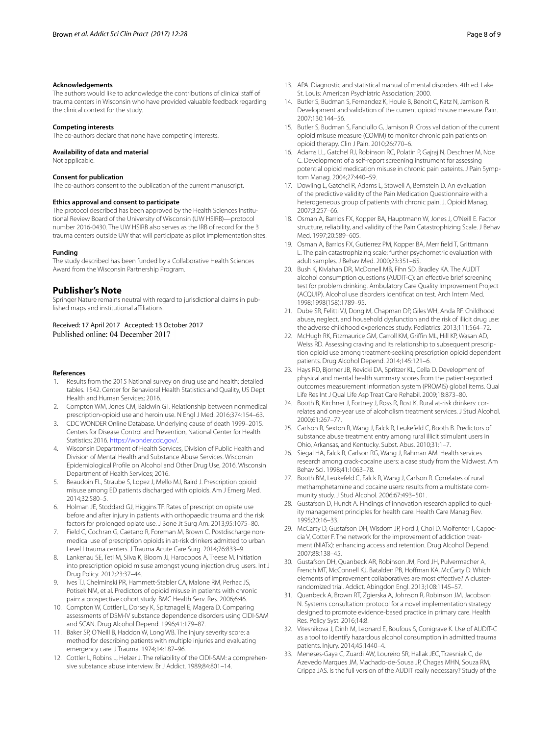#### **Acknowledgements**

The authors would like to acknowledge the contributions of clinical staff of trauma centers in Wisconsin who have provided valuable feedback regarding the clinical context for the study.

#### **Competing interests**

The co-authors declare that none have competing interests.

#### **Availability of data and material**

Not applicable.

#### **Consent for publication**

The co-authors consent to the publication of the current manuscript.

#### **Ethics approval and consent to participate**

The protocol described has been approved by the Health Sciences Institutional Review Board of the University of Wisconsin (UW HSIRB)—protocol number 2016-0430. The UW HSIRB also serves as the IRB of record for the 3 trauma centers outside UW that will participate as pilot implementation sites.

#### **Funding**

The study described has been funded by a Collaborative Health Sciences Award from the Wisconsin Partnership Program.

#### **Publisher's Note**

Springer Nature remains neutral with regard to jurisdictional claims in published maps and institutional afliations.

Received: 17 April 2017 Accepted: 13 October 2017

#### **References**

- <span id="page-7-0"></span>1. Results from the 2015 National survey on drug use and health: detailed tables. 1542. Center for Behavioral Health Statistics and Quality, US Dept Health and Human Services; 2016.
- <span id="page-7-1"></span>2. Compton WM, Jones CM, Baldwin GT. Relationship between nonmedical prescription-opioid use and heroin use. N Engl J Med. 2016;374:154–63.
- <span id="page-7-2"></span>3. CDC WONDER Online Database. Underlying cause of death 1999–2015. Centers for Disease Control and Prevention, National Center for Health Statistics; 2016. [https://wonder.cdc.gov/.](https://wonder.cdc.gov/)
- <span id="page-7-3"></span>4. Wisconsin Department of Health Services, Division of Public Health and Division of Mental Health and Substance Abuse Services. Wisconsin Epidemiological Profle on Alcohol and Other Drug Use, 2016. Wisconsin Department of Health Services; 2016.
- <span id="page-7-4"></span>5. Beaudoin FL, Straube S, Lopez J, Mello MJ, Baird J. Prescription opioid misuse among ED patients discharged with opioids. Am J Emerg Med. 2014;32:580–5.
- <span id="page-7-5"></span>6. Holman JE, Stoddard GJ, Higgins TF. Rates of prescription opiate use before and after injury in patients with orthopaedic trauma and the risk factors for prolonged opiate use. J Bone Jt Surg Am. 2013;95:1075–80.
- <span id="page-7-6"></span>7. Field C, Cochran G, Caetano R, Foreman M, Brown C. Postdischarge nonmedical use of prescription opioids in at-risk drinkers admitted to urban Level I trauma centers. J Trauma Acute Care Surg. 2014;76:833–9.
- <span id="page-7-7"></span>8. Lankenau SE, Teti M, Silva K, Bloom JJ, Harocopos A, Treese M. Initiation into prescription opioid misuse amongst young injection drug users. Int J Drug Policy. 2012;23:37–44.
- <span id="page-7-8"></span>9. Ives TJ, Chelminski PR, Hammett-Stabler CA, Malone RM, Perhac JS, Potisek NM, et al. Predictors of opioid misuse in patients with chronic pain: a prospective cohort study. BMC Health Serv. Res. 2006;6:46.
- <span id="page-7-9"></span>10. Compton W, Cottler L, Dorsey K, Spitznagel E, Magera D. Comparing assessments of DSM-IV substance dependence disorders using CIDI-SAM and SCAN. Drug Alcohol Depend. 1996;41:179–87.
- <span id="page-7-10"></span>11. Baker SP, O'Neill B, Haddon W, Long WB. The injury severity score: a method for describing patients with multiple injuries and evaluating emergency care. J Trauma. 1974;14:187–96.
- <span id="page-7-11"></span>12. Cottler L, Robins L, Helzer J. The reliability of the CIDI-SAM: a comprehensive substance abuse interview. Br J Addict. 1989;84:801–14.
- <span id="page-7-12"></span>13. APA. Diagnostic and statistical manual of mental disorders. 4th ed. Lake St. Louis: American Psychiatric Association; 2000.
- <span id="page-7-13"></span>14. Butler S, Budman S, Fernandez K, Houle B, Benoit C, Katz N, Jamison R. Development and validation of the current opioid misuse measure. Pain. 2007;130:144–56.
- <span id="page-7-14"></span>15. Butler S, Budman S, Fanciullo G, Jamison R. Cross validation of the current opioid misuse measure (COMM) to monitor chronic pain patients on opioid therapy. Clin J Pain. 2010;26:770–6.
- <span id="page-7-15"></span>16. Adams LL, Gatchel RJ, Robinson RC, Polatin P, Gajraj N, Deschner M, Noe C. Development of a self-report screening instrument for assessing potential opioid medication misuse in chronic pain pateints. J Pain Symptom Manag. 2004;27:440–59.
- <span id="page-7-16"></span>17. Dowling L, Gatchel R, Adams L, Stowell A, Bernstein D. An evaluation of the predictive validity of the Pain Medication Questionnaire with a heterogeneous group of patients with chronic pain. J. Opioid Manag. 2007;3:257–66.
- <span id="page-7-17"></span>18. Osman A, Barrios FX, Kopper BA, Hauptmann W, Jones J, O'Neill E. Factor structure, reliability, and validity of the Pain Catastrophizing Scale. J Behav Med. 1997;20:589–605.
- <span id="page-7-18"></span>19. Osman A, Barrios FX, Gutierrez PM, Kopper BA, Merrifeld T, Grittmann L. The pain catastrophizing scale: further psychometric evaluation with adult samples. J Behav Med. 2000;23:351–65.
- <span id="page-7-19"></span>20. Bush K, Kivlahan DR, McDonell MB, Fihn SD, Bradley KA. The AUDIT alcohol consumption questions (AUDIT-C): an efective brief screening test for problem drinking. Ambulatory Care Quality Improvement Project (ACQUIP). Alcohol use disorders identifcation test. Arch Intern Med. 1998;1998(158):1789–95.
- <span id="page-7-20"></span>21. Dube SR, Felitti VJ, Dong M, Chapman DP, Giles WH, Anda RF. Childhood abuse, neglect, and household dysfunction and the risk of illicit drug use: the adverse childhood experiences study. Pediatrics. 2013;111:564–72.
- <span id="page-7-21"></span>22. McHugh RK, Fitzmaurice GM, Carroll KM, Griffin ML, Hill KP, Wasan AD, Weiss RD. Assessing craving and its relationship to subsequent prescription opioid use among treatment-seeking prescription opioid dependent patients. Drug Alcohol Depend. 2014;145:121–6.
- <span id="page-7-22"></span>23. Hays RD, Bjorner JB, Revicki DA, Spritzer KL, Cella D. Development of physical and mental health summary scores from the patient-reported outcomes measurement information system (PROMIS) global items. Qual Life Res Int J Qual Life Asp Treat Care Rehabil. 2009;18:873–80.
- <span id="page-7-23"></span>24. Booth B, Kirchner J, Fortney J, Ross R, Rost K. Rural at-risk drinkers: correlates and one-year use of alcoholism treatment services. J Stud Alcohol. 2000;61:267–77.
- 25. Carlson R, Sexton R, Wang J, Falck R, Leukefeld C, Booth B. Predictors of substance abuse treatment entry among rural illicit stimulant users in Ohio, Arkansas, and Kentucky. Subst. Abus. 2010;31:1–7.
- 26. Siegal HA, Falck R, Carlson RG, Wang J, Rahman AM. Health services research among crack-cocaine users: a case study from the Midwest. Am Behav Sci. 1998;41:1063–78.
- <span id="page-7-24"></span>27. Booth BM, Leukefeld C, Falck R, Wang J, Carlson R. Correlates of rural methamphetamine and cocaine users: results from a multistate community study. J Stud Alcohol. 2006;67:493–501.
- <span id="page-7-25"></span>28. Gustafson D, Hundt A. Findings of innovation research applied to quality management principles for health care. Health Care Manag Rev. 1995;20:16–33.
- 29. McCarty D, Gustafson DH, Wisdom JP, Ford J, Choi D, Molfenter T, Capoccia V, Cotter F. The network for the improvement of addiction treatment (NIATx): enhancing access and retention. Drug Alcohol Depend. 2007;88:138–45.
- <span id="page-7-26"></span>30. Gustafson DH, Quanbeck AR, Robinson JM, Ford JH, Pulvermacher A, French MT, McConnell KJ, Batalden PB, Hoffman KA, McCarty D. Which elements of improvement collaboratives are most efective? A clusterrandomized trial. Addict. Abingdon Engl. 2013;108:1145–57.
- <span id="page-7-27"></span>31. Quanbeck A, Brown RT, Zgierska A, Johnson R, Robinson JM, Jacobson N. Systems consultation: protocol for a novel implementation strategy designed to promote evidence-based practice in primary care. Health Res. Policy Syst. 2016;14:8.
- <span id="page-7-28"></span>32. Vitesnikova J, Dinh M, Leonard E, Boufous S, Conigrave K. Use of AUDIT-C as a tool to identify hazardous alcohol consumption in admitted trauma patients. Injury. 2014;45:1440–4.
- <span id="page-7-29"></span>33. Meneses-Gaya C, Zuardi AW, Loureiro SR, Hallak JEC, Trzesniak C, de Azevedo Marques JM, Machado-de-Sousa JP, Chagas MHN, Souza RM, Crippa JAS. Is the full version of the AUDIT really necessary? Study of the